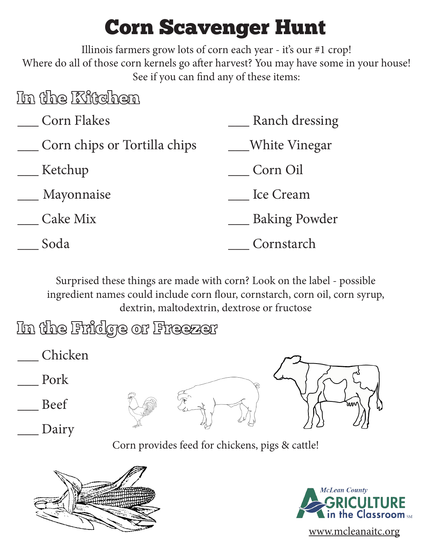## Corn Scavenger Hunt

Illinois farmers grow lots of corn each year - it's our #1 crop! Where do all of those corn kernels go after harvest? You may have some in your house! See if you can find any of these items:

## In the Kitchen

| <b>Corn Flakes</b>           | Ranch dressing       |
|------------------------------|----------------------|
| Corn chips or Tortilla chips | White Vinegar        |
| Ketchup                      | Corn Oil             |
| Mayonnaise                   | Ice Cream            |
| Cake Mix                     | <b>Baking Powder</b> |
| Soda                         | Cornstarch           |

Surprised these things are made with corn? Look on the label - possible ingredient names could include corn flour, cornstarch, corn oil, corn syrup, dextrin, maltodextrin, dextrose or fructose

- In the Fridge or Freezer
- \_\_\_ Chicken \_\_\_ Pork \_\_\_ Beef Dairy

Corn provides feed for chickens, pigs & cattle!





www.mcleanaitc.org